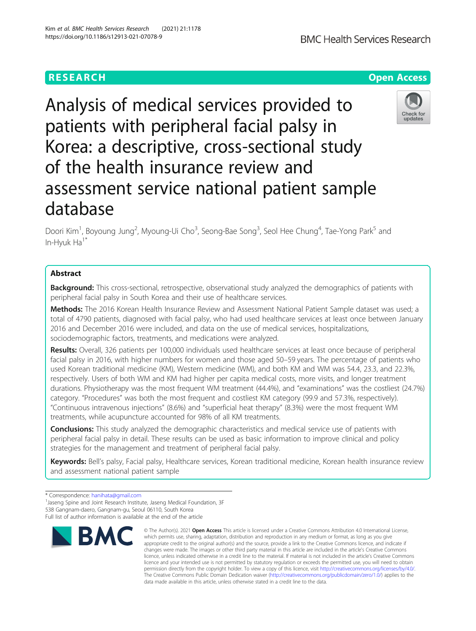Analysis of medical services provided to patients with peripheral facial palsy in Korea: a descriptive, cross-sectional study of the health insurance review and assessment service national patient sample database

Doori Kim<sup>1</sup>, Boyoung Jung<sup>2</sup>, Myoung-Ui Cho<sup>3</sup>, Seong-Bae Song<sup>3</sup>, Seol Hee Chung<sup>4</sup>, Tae-Yong Park<sup>5</sup> and In-Hyuk Ha<sup>1\*</sup>

# Abstract

**Background:** This cross-sectional, retrospective, observational study analyzed the demographics of patients with peripheral facial palsy in South Korea and their use of healthcare services.

Methods: The 2016 Korean Health Insurance Review and Assessment National Patient Sample dataset was used; a total of 4790 patients, diagnosed with facial palsy, who had used healthcare services at least once between January 2016 and December 2016 were included, and data on the use of medical services, hospitalizations, sociodemographic factors, treatments, and medications were analyzed.

Results: Overall, 326 patients per 100,000 individuals used healthcare services at least once because of peripheral facial palsy in 2016, with higher numbers for women and those aged 50–59 years. The percentage of patients who used Korean traditional medicine (KM), Western medicine (WM), and both KM and WM was 54.4, 23.3, and 22.3%, respectively. Users of both WM and KM had higher per capita medical costs, more visits, and longer treatment durations. Physiotherapy was the most frequent WM treatment (44.4%), and "examinations" was the costliest (24.7%) category. "Procedures" was both the most frequent and costliest KM category (99.9 and 57.3%, respectively). "Continuous intravenous injections" (8.6%) and "superficial heat therapy" (8.3%) were the most frequent WM treatments, while acupuncture accounted for 98% of all KM treatments.

**Conclusions:** This study analyzed the demographic characteristics and medical service use of patients with peripheral facial palsy in detail. These results can be used as basic information to improve clinical and policy strategies for the management and treatment of peripheral facial palsy.

Keywords: Bell's palsy, Facial palsy, Healthcare services, Korean traditional medicine, Korean health insurance review and assessment national patient sample

data made available in this article, unless otherwise stated in a credit line to the data.

© The Author(s), 2021 **Open Access** This article is licensed under a Creative Commons Attribution 4.0 International License,







<sup>\*</sup> Correspondence: [hanihata@gmail.com](mailto:hanihata@gmail.com) <sup>1</sup>

<sup>&</sup>lt;sup>1</sup> Jaseng Spine and Joint Research Institute, Jaseng Medical Foundation, 3F 538 Gangnam-daero, Gangnam-gu, Seoul 06110, South Korea

Full list of author information is available at the end of the article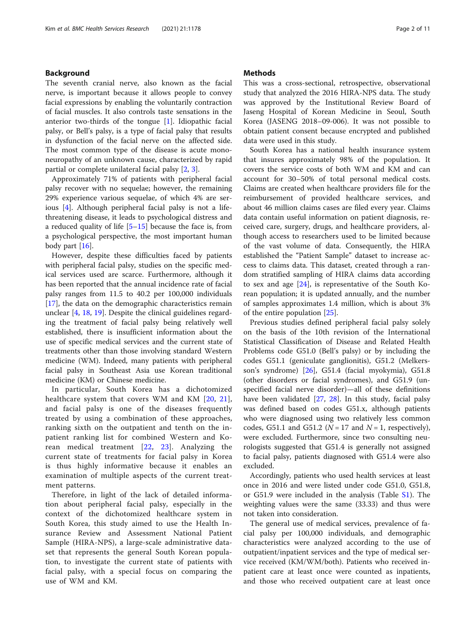# Background

The seventh cranial nerve, also known as the facial nerve, is important because it allows people to convey facial expressions by enabling the voluntarily contraction of facial muscles. It also controls taste sensations in the anterior two-thirds of the tongue [\[1](#page-8-0)]. Idiopathic facial palsy, or Bell's palsy, is a type of facial palsy that results in dysfunction of the facial nerve on the affected side. The most common type of the disease is acute mononeuropathy of an unknown cause, characterized by rapid partial or complete unilateral facial palsy [[2,](#page-8-0) [3\]](#page-8-0).

Approximately 71% of patients with peripheral facial palsy recover with no sequelae; however, the remaining 29% experience various sequelae, of which 4% are serious [\[4](#page-8-0)]. Although peripheral facial palsy is not a lifethreatening disease, it leads to psychological distress and a reduced quality of life  $[5-15]$  $[5-15]$  $[5-15]$  because the face is, from a psychological perspective, the most important human body part [\[16\]](#page-9-0).

However, despite these difficulties faced by patients with peripheral facial palsy, studies on the specific medical services used are scarce. Furthermore, although it has been reported that the annual incidence rate of facial palsy ranges from 11.5 to 40.2 per 100,000 individuals [[17\]](#page-9-0), the data on the demographic characteristics remain unclear [[4,](#page-8-0) [18,](#page-9-0) [19\]](#page-9-0). Despite the clinical guidelines regarding the treatment of facial palsy being relatively well established, there is insufficient information about the use of specific medical services and the current state of treatments other than those involving standard Western medicine (WM). Indeed, many patients with peripheral facial palsy in Southeast Asia use Korean traditional medicine (KM) or Chinese medicine.

In particular, South Korea has a dichotomized healthcare system that covers WM and KM [[20](#page-9-0), [21](#page-9-0)], and facial palsy is one of the diseases frequently treated by using a combination of these approaches, ranking sixth on the outpatient and tenth on the inpatient ranking list for combined Western and Korean medical treatment [[22](#page-9-0), [23\]](#page-9-0). Analyzing the current state of treatments for facial palsy in Korea is thus highly informative because it enables an examination of multiple aspects of the current treatment patterns.

Therefore, in light of the lack of detailed information about peripheral facial palsy, especially in the context of the dichotomized healthcare system in South Korea, this study aimed to use the Health Insurance Review and Assessment National Patient Sample (HIRA-NPS), a large-scale administrative dataset that represents the general South Korean population, to investigate the current state of patients with facial palsy, with a special focus on comparing the use of WM and KM.

# **Methods**

This was a cross-sectional, retrospective, observational study that analyzed the 2016 HIRA-NPS data. The study was approved by the Institutional Review Board of Jaseng Hospital of Korean Medicine in Seoul, South Korea (JASENG 2018–09-006). It was not possible to obtain patient consent because encrypted and published data were used in this study.

South Korea has a national health insurance system that insures approximately 98% of the population. It covers the service costs of both WM and KM and can account for 30–50% of total personal medical costs. Claims are created when healthcare providers file for the reimbursement of provided healthcare services, and about 46 million claims cases are filed every year. Claims data contain useful information on patient diagnosis, received care, surgery, drugs, and healthcare providers, although access to researchers used to be limited because of the vast volume of data. Consequently, the HIRA established the "Patient Sample" dataset to increase access to claims data. This dataset, created through a random stratified sampling of HIRA claims data according to sex and age [[24](#page-9-0)], is representative of the South Korean population; it is updated annually, and the number of samples approximates 1.4 million, which is about 3% of the entire population [\[25](#page-9-0)].

Previous studies defined peripheral facial palsy solely on the basis of the 10th revision of the International Statistical Classification of Disease and Related Health Problems code G51.0 (Bell's palsy) or by including the codes G51.1 (geniculate ganglionitis), G51.2 (Melkersson's syndrome) [[26\]](#page-9-0), G51.4 (facial myokymia), G51.8 (other disorders or facial syndromes), and G51.9 (unspecified facial nerve disorder)—all of these definitions have been validated [[27](#page-9-0), [28\]](#page-9-0). In this study, facial palsy was defined based on codes G51.x, although patients who were diagnosed using two relatively less common codes, G51.1 and G51.2 ( $N = 17$  and  $N = 1$ , respectively), were excluded. Furthermore, since two consulting neurologists suggested that G51.4 is generally not assigned to facial palsy, patients diagnosed with G51.4 were also excluded.

Accordingly, patients who used health services at least once in 2016 and were listed under code G51.0, G51.8, or G51.9 were included in the analysis (Table [S1\)](#page-8-0). The weighting values were the same (33.33) and thus were not taken into consideration.

The general use of medical services, prevalence of facial palsy per 100,000 individuals, and demographic characteristics were analyzed according to the use of outpatient/inpatient services and the type of medical service received (KM/WM/both). Patients who received inpatient care at least once were counted as inpatients, and those who received outpatient care at least once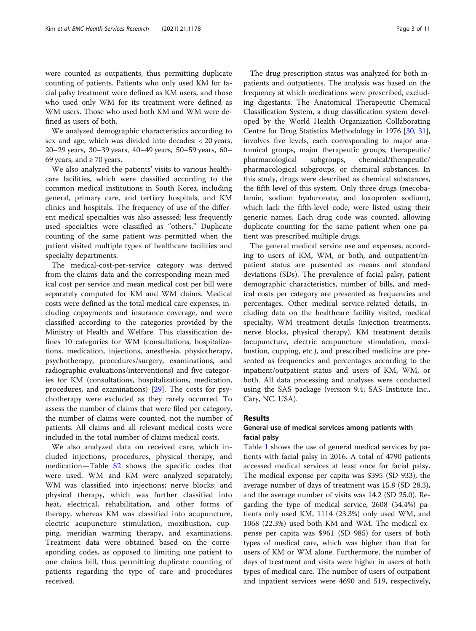were counted as outpatients, thus permitting duplicate counting of patients. Patients who only used KM for facial palsy treatment were defined as KM users, and those who used only WM for its treatment were defined as WM users. Those who used both KM and WM were defined as users of both.

We analyzed demographic characteristics according to sex and age, which was divided into decades: < 20 years, 20–29 years, 30–39 years, 40–49 years, 50–59 years, 60– 69 years, and  $\geq$  70 years.

We also analyzed the patients' visits to various healthcare facilities, which were classified according to the common medical institutions in South Korea, including general, primary care, and tertiary hospitals, and KM clinics and hospitals. The frequency of use of the different medical specialties was also assessed; less frequently used specialties were classified as "others." Duplicate counting of the same patient was permitted when the patient visited multiple types of healthcare facilities and specialty departments.

The medical-cost-per-service category was derived from the claims data and the corresponding mean medical cost per service and mean medical cost per bill were separately computed for KM and WM claims. Medical costs were defined as the total medical care expenses, including copayments and insurance coverage, and were classified according to the categories provided by the Ministry of Health and Welfare. This classification defines 10 categories for WM (consultations, hospitalizations, medication, injections, anesthesia, physiotherapy, psychotherapy, procedures/surgery, examinations, and radiographic evaluations/interventions) and five categories for KM (consultations, hospitalizations, medication, procedures, and examinations) [[29\]](#page-9-0). The costs for psychotherapy were excluded as they rarely occurred. To assess the number of claims that were filed per category, the number of claims were counted, not the number of patients. All claims and all relevant medical costs were included in the total number of claims medical costs.

We also analyzed data on received care, which included injections, procedures, physical therapy, and medication—Table [S2](#page-8-0) shows the specific codes that were used. WM and KM were analyzed separately; WM was classified into injections; nerve blocks; and physical therapy, which was further classified into heat, electrical, rehabilitation, and other forms of therapy, whereas KM was classified into acupuncture, electric acupuncture stimulation, moxibustion, cupping, meridian warming therapy, and examinations. Treatment data were obtained based on the corresponding codes, as opposed to limiting one patient to one claims bill, thus permitting duplicate counting of patients regarding the type of care and procedures received.

The drug prescription status was analyzed for both inpatients and outpatients. The analysis was based on the frequency at which medications were prescribed, excluding digestants. The Anatomical Therapeutic Chemical Classification System, a drug classification system developed by the World Health Organization Collaborating Centre for Drug Statistics Methodology in 1976 [\[30](#page-9-0), [31](#page-9-0)], involves five levels, each corresponding to major anatomical groups, major therapeutic groups, therapeutic/ pharmacological subgroups, chemical/therapeutic/ pharmacological subgroups, or chemical substances. In this study, drugs were described as chemical substances, the fifth level of this system. Only three drugs (mecobalamin, sodium hyaluronate, and loxoprofen sodium), which lack the fifth-level code, were listed using their generic names. Each drug code was counted, allowing duplicate counting for the same patient when one patient was prescribed multiple drugs.

The general medical service use and expenses, according to users of KM, WM, or both, and outpatient/inpatient status are presented as means and standard deviations (SDs). The prevalence of facial palsy, patient demographic characteristics, number of bills, and medical costs per category are presented as frequencies and percentages. Other medical service-related details, including data on the healthcare facility visited, medical specialty, WM treatment details (injection treatments, nerve blocks, physical therapy), KM treatment details (acupuncture, electric acupuncture stimulation, moxibustion, cupping, etc.), and prescribed medicine are presented as frequencies and percentages according to the inpatient/outpatient status and users of KM, WM, or both. All data processing and analyses were conducted using the SAS package (version 9.4; SAS Institute Inc., Cary, NC, USA).

# Results

# General use of medical services among patients with facial palsy

Table [1](#page-3-0) shows the use of general medical services by patients with facial palsy in 2016. A total of 4790 patients accessed medical services at least once for facial palsy. The medical expense per capita was \$395 (SD 933), the average number of days of treatment was 15.8 (SD 28.3), and the average number of visits was 14.2 (SD 25.0). Regarding the type of medical service, 2608 (54.4%) patients only used KM, 1114 (23.3%) only used WM, and 1068 (22.3%) used both KM and WM. The medical expense per capita was \$961 (SD 985) for users of both types of medical care, which was higher than that for users of KM or WM alone. Furthermore, the number of days of treatment and visits were higher in users of both types of medical care. The number of users of outpatient and inpatient services were 4690 and 519, respectively,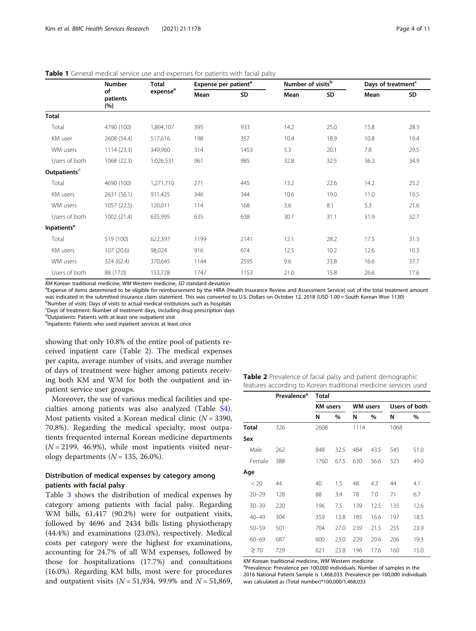<span id="page-3-0"></span>

| <b>Table 1</b> General medical service use and expenses for patients with facial palsy |  |  |  |  |  |
|----------------------------------------------------------------------------------------|--|--|--|--|--|
|----------------------------------------------------------------------------------------|--|--|--|--|--|

|                               | <b>Number</b>         | <b>Total</b>         | Expense per patient <sup>a</sup> |      | Number of visits <sup>b</sup> |      | Days of treatment <sup>c</sup> |      |  |
|-------------------------------|-----------------------|----------------------|----------------------------------|------|-------------------------------|------|--------------------------------|------|--|
|                               | of<br>patients<br>(%) | expense <sup>a</sup> | Mean                             | SD   | Mean                          | SD   | Mean                           | SD   |  |
| <b>Total</b>                  |                       |                      |                                  |      |                               |      |                                |      |  |
| Total                         | 4790 (100)            | 1,894,107            | 395                              | 933  | 14.2                          | 25.0 | 15.8                           | 28.3 |  |
| KM user                       | 2608 (54.4)           | 517,616              | 198                              | 357  | 10.4                          | 18.9 | 10.8                           | 19.4 |  |
| WM users                      | 1114(23.3)            | 349,960              | 314                              | 1453 | 5.3                           | 20.1 | 7.8                            | 29.5 |  |
| Users of both                 | 1068 (22.3)           | 1,026,531            | 961                              | 985  | 32.8                          | 32.5 | 36.3                           | 34.9 |  |
| Outpatientsd                  |                       |                      |                                  |      |                               |      |                                |      |  |
| Total                         | 4690 (100)            | 1,271,710            | 271                              | 445  | 13.2                          | 22.6 | 14.2                           | 25.2 |  |
| KM users                      | 2631 (56.1)           | 911,425              | 346                              | 344  | 10.6                          | 19.0 | 11.0                           | 19.5 |  |
| WM users                      | 1057 (22.5)           | 120,011              | 114                              | 168  | 3.6                           | 8.1  | 5.3                            | 21.6 |  |
| Users of both                 | 1002 (21.4)           | 635,995              | 635                              | 638  | 30.1                          | 31.1 | 31.9                           | 32.7 |  |
| <b>Inpatients<sup>e</sup></b> |                       |                      |                                  |      |                               |      |                                |      |  |
| Total                         | 519 (100)             | 622,397              | 1199                             | 2141 | 12.1                          | 28.2 | 17.5                           | 31.3 |  |
| KM users                      | 107(20.6)             | 98,024               | 916                              | 674  | 12.5                          | 10.2 | 12.6                           | 10.3 |  |
| WM users                      | 324 (62.4)            | 370,645              | 1144                             | 2595 | 9.6                           | 33.8 | 16.6                           | 37.7 |  |
| Users of both                 | 88 (17.0)             | 153,728              | 1747                             | 1153 | 21.0                          | 15.8 | 26.6                           | 17.6 |  |

KM Korean traditional medicine, WM Western medicine, SD standard deviation

<sup>a</sup>Expense of items determined to be eligible for reimbursement by the HIRA (Health Insurance Review and Assessment Service) out of the total treatment amount was indicated in the submitted insurance claim statement. This was converted to U.S. Dollars on October 12, 2018 (USD 1.00 = South Korean Won 1130) <sup>b</sup>Number of visits: Days of visits to actual medical institutions such as hospitals

<sup>c</sup>Days of treatment: Number of treatment days, including drug prescription days

dOutpatients: Patients with at least one outpatient visit

<sup>e</sup>Inpatients: Patients who used inpatient services at least once

showing that only 10.8% of the entire pool of patients received inpatient care (Table 2). The medical expenses per capita, average number of visits, and average number of days of treatment were higher among patients receiving both KM and WM for both the outpatient and inpatient service user groups.

Moreover, the use of various medical facilities and specialties among patients was also analyzed (Table [S4](#page-8-0)). Most patients visited a Korean medical clinic  $(N = 3390,$ 70.8%). Regarding the medical specialty, most outpatients frequented internal Korean medicine departments  $(N = 2199, 46.9%)$ , while most inpatients visited neurology departments  $(N = 135, 26.0\%).$ 

# Distribution of medical expenses by category among patients with facial palsy

Table [3](#page-4-0) shows the distribution of medical expenses by category among patients with facial palsy. Regarding WM bills, 61,417 (90.2%) were for outpatient visits, followed by 4696 and 2434 bills listing physiotherapy (44.4%) and examinations (23.0%), respectively. Medical costs per category were the highest for examinations, accounting for 24.7% of all WM expenses, followed by those for hospitalizations (17.7%) and consultations (16.0%). Regarding KM bills, most were for procedures and outpatient visits ( $N = 51,934$ , 99.9% and  $N = 51,869$ ,

|  | Table 2 Prevalence of facial palsy and patient demographic      |  |  |
|--|-----------------------------------------------------------------|--|--|
|  | features according to Korean traditional medicine services used |  |  |

|              | Prevalence <sup>a</sup> | <b>Total</b>    |      |      |                 |      |               |  |  |  |  |  |  |  |
|--------------|-------------------------|-----------------|------|------|-----------------|------|---------------|--|--|--|--|--|--|--|
|              |                         | <b>KM</b> users |      |      | <b>WM</b> users |      | Users of both |  |  |  |  |  |  |  |
|              |                         | N               | %    | N    | $\%$            | N    | $\%$          |  |  |  |  |  |  |  |
| <b>Total</b> | 326                     | 2608            |      | 1114 |                 | 1068 |               |  |  |  |  |  |  |  |
| Sex          |                         |                 |      |      |                 |      |               |  |  |  |  |  |  |  |
| Male         | 262                     | 848             | 32.5 | 484  | 43.5            | 545  | 51.0          |  |  |  |  |  |  |  |
| Female       | 388                     | 1760            | 67.5 | 630  | 56.6            | 523  | 49.0          |  |  |  |  |  |  |  |
| Age          |                         |                 |      |      |                 |      |               |  |  |  |  |  |  |  |
| < 20         | 44                      | 40              | 1.5  | 48   | 4.3             | 44   | 4.1           |  |  |  |  |  |  |  |
| $20 - 29$    | 128                     | 88              | 3.4  | 78   | 7.0             | 71   | 6.7           |  |  |  |  |  |  |  |
| $30 - 39$    | 220                     | 196             | 7.5  | 139  | 12.5            | 135  | 12.6          |  |  |  |  |  |  |  |
| $40 - 49$    | 304                     | 359             | 13.8 | 185  | 16.6            | 197  | 18.5          |  |  |  |  |  |  |  |
| $50 - 59$    | 501                     | 704             | 27.0 | 239  | 21.5            | 255  | 23.9          |  |  |  |  |  |  |  |
| $60 - 69$    | 687                     | 600             | 23.0 | 229  | 20.6            | 206  | 19.3          |  |  |  |  |  |  |  |
| $\geq 70$    | 729                     | 621             | 23.8 | 196  | 17.6            | 160  | 15.0          |  |  |  |  |  |  |  |

KM Korean traditional medicine, WM Western medicine

<sup>a</sup>Prevalence: Prevalence per 100,000 individuals. Number of samples in the 2016 National Patient Sample is 1,468,033. Prevalence per 100,000 individuals was calculated as (Total number)\*100,000/1,468,033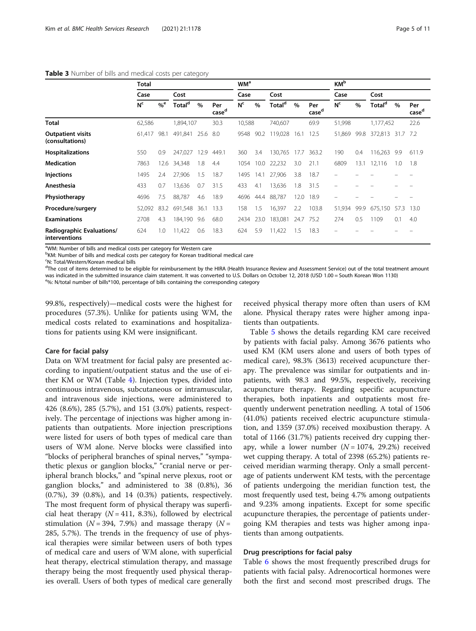#### <span id="page-4-0"></span>Table 3 Number of bills and medical costs per category

|                                             | Total          |                   |                    |      |                          |                |      |                    |      |                          | <b>KM</b> b    |      |                    |      |                          |  |
|---------------------------------------------|----------------|-------------------|--------------------|------|--------------------------|----------------|------|--------------------|------|--------------------------|----------------|------|--------------------|------|--------------------------|--|
|                                             | Case           |                   | Cost               |      |                          | Case           |      | Cost               |      |                          | Case           |      | Cost               |      |                          |  |
|                                             | N <sup>c</sup> | $\%^{\mathrm{e}}$ | Total <sup>d</sup> | $\%$ | Per<br>case <sup>d</sup> | N <sup>c</sup> | $\%$ | Total <sup>d</sup> | $\%$ | Per<br>case <sup>d</sup> | N <sup>c</sup> | $\%$ | Total <sup>d</sup> | $\%$ | Per<br>case <sup>d</sup> |  |
| <b>Total</b>                                | 62,586         |                   | 894,107            |      | 30.3                     | 10,588         |      | 740,607            |      | 69.9                     | 51,998         |      | 1,177,452          |      | 22.6                     |  |
| <b>Outpatient visits</b><br>(consultations) | 61,417         | 98.1              | 491,841            | 25.6 | 8.0                      | 9548           | 90.2 | 119,028            | 16.1 | 12.5                     | 51.869         | 99.8 | 372,813 31.7 7.2   |      |                          |  |
| <b>Hospitalizations</b>                     | 550            | 0.9               | 247,027            | 12.9 | 449.1                    | 360            | 3.4  | 130,765            | 17.7 | 363.2                    | 190            | 0.4  | 116,263            | 9.9  | 611.9                    |  |
| <b>Medication</b>                           | 7863           | 12.6              | 34,348             | 1.8  | 4.4                      | 1054           | 10.0 | 22,232             | 3.0  | 21.1                     | 6809           | 13.1 | 12,116             | 1.0  | 1.8                      |  |
| <b>Injections</b>                           | 1495           | 2.4               | 27,906             | 1.5  | 18.7                     | 1495           | 14.1 | 27,906             | 3.8  | 18.7                     |                |      |                    |      |                          |  |
| Anesthesia                                  | 433            | 0.7               | 13,636             | 0.7  | 31.5                     | 433            | 4.1  | 13,636             | 1.8  | 31.5                     |                |      |                    |      |                          |  |
| Physiotherapy                               | 4696           | 7.5               | 88,787             | 4.6  | 18.9                     | 4696           | 44.4 | 88,787             | 12.0 | 18.9                     |                |      |                    |      |                          |  |
| Procedure/surgery                           | 52,092         | 83.2              | 691,548            | 36.1 | 13.3                     | 158            | 1.5  | 16,397             | 2.2  | 103.8                    | 51,934         | 99.9 | 675,150            | 57.3 | 13.0                     |  |
| <b>Examinations</b>                         | 2708           | 4.3               | 184,190 9.6        |      | 68.0                     | 2434           | 23.0 | 183,081            | 24.7 | 75.2                     | 274            | 0.5  | 1109               | 0.1  | 4.0                      |  |
| Radiographic Evaluations/<br>interventions  | 624            | 1.0               | 11,422             | 0.6  | 18.3                     | 624            | 5.9  | 11,422             | 1.5  | 18.3                     |                |      |                    |      |                          |  |

<sup>a</sup>WM: Number of bills and medical costs per category for Western care

<sup>b</sup>KM: Number of bills and medical costs per category for Korean traditional medical care

<sup>c</sup>N: Total/Western/Korean medical bills

<sup>d</sup>The cost of items determined to be eligible for reimbursement by the HIRA (Health Insurance Review and Assessment Service) out of the total treatment amount was indicated in the submitted insurance claim statement. It was converted to U.S. Dollars on October 12, 2018 (USD 1.00 = South Korean Won 1130) e<sub>%</sub>: N/total number of bills\*100, percentage of bills containing the corresponding category

99.8%, respectively)—medical costs were the highest for procedures (57.3%). Unlike for patients using WM, the medical costs related to examinations and hospitalizations for patients using KM were insignificant.

### Care for facial palsy

Data on WM treatment for facial palsy are presented according to inpatient/outpatient status and the use of either KM or WM (Table [4\)](#page-5-0). Injection types, divided into continuous intravenous, subcutaneous or intramuscular, and intravenous side injections, were administered to 426 (8.6%), 285 (5.7%), and 151 (3.0%) patients, respectively. The percentage of injections was higher among inpatients than outpatients. More injection prescriptions were listed for users of both types of medical care than users of WM alone. Nerve blocks were classified into "blocks of peripheral branches of spinal nerves," "sympathetic plexus or ganglion blocks," "cranial nerve or peripheral branch blocks," and "spinal nerve plexus, root or ganglion blocks," and administered to 38 (0.8%), 36 (0.7%), 39 (0.8%), and 14 (0.3%) patients, respectively. The most frequent form of physical therapy was superficial heat therapy  $(N = 411, 8.3%)$ , followed by electrical stimulation ( $N = 394$ , 7.9%) and massage therapy ( $N =$ 285, 5.7%). The trends in the frequency of use of physical therapies were similar between users of both types of medical care and users of WM alone, with superficial heat therapy, electrical stimulation therapy, and massage therapy being the most frequently used physical therapies overall. Users of both types of medical care generally received physical therapy more often than users of KM alone. Physical therapy rates were higher among inpatients than outpatients.

Table [5](#page-6-0) shows the details regarding KM care received by patients with facial palsy. Among 3676 patients who used KM (KM users alone and users of both types of medical care), 98.3% (3613) received acupuncture therapy. The prevalence was similar for outpatients and inpatients, with 98.3 and 99.5%, respectively, receiving acupuncture therapy. Regarding specific acupuncture therapies, both inpatients and outpatients most frequently underwent penetration needling. A total of 1506 (41.0%) patients received electric acupuncture stimulation, and 1359 (37.0%) received moxibustion therapy. A total of 1166 (31.7%) patients received dry cupping therapy, while a lower number  $(N = 1074, 29.2%)$  received wet cupping therapy. A total of 2398 (65.2%) patients received meridian warming therapy. Only a small percentage of patients underwent KM tests, with the percentage of patients undergoing the meridian function test, the most frequently used test, being 4.7% among outpatients and 9.23% among inpatients. Except for some specific acupuncture therapies, the percentage of patients undergoing KM therapies and tests was higher among inpatients than among outpatients.

# Drug prescriptions for facial palsy

Table [6](#page-7-0) shows the most frequently prescribed drugs for patients with facial palsy. Adrenocortical hormones were both the first and second most prescribed drugs. The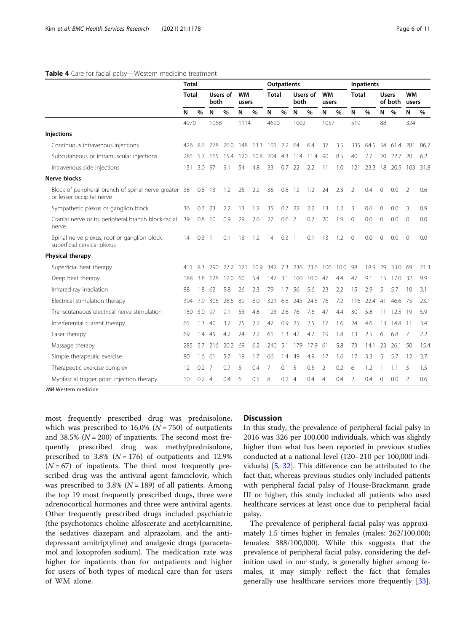## <span id="page-5-0"></span>Table 4 Care for facial palsy-Western medicine treatment

|                                                                                    | <b>Total</b> |               |     |                  |     |                    | <b>Outpatients</b> |               |      |               |                    |      |                | Inpatients |                         |      |                    |      |
|------------------------------------------------------------------------------------|--------------|---------------|-----|------------------|-----|--------------------|--------------------|---------------|------|---------------|--------------------|------|----------------|------------|-------------------------|------|--------------------|------|
|                                                                                    | Total        |               |     | Users of<br>both |     | <b>WM</b><br>users | Total              |               | both | Users of      | <b>WM</b><br>users |      | <b>Total</b>   |            | <b>Users</b><br>of both |      | <b>WM</b><br>users |      |
|                                                                                    | N            | $\%$<br>N     |     | $\%$             | N   | %                  | N                  | $\%$          | N    | $\frac{0}{0}$ | N                  | %    | N              | $\%$       | N                       | $\%$ | N                  | %    |
|                                                                                    | 4970         |               |     | 1068             |     | 1114               |                    | 4690          | 1002 |               | 1057               |      | 519            |            | 88                      |      | 324                |      |
| <b>Injections</b>                                                                  |              |               |     |                  |     |                    |                    |               |      |               |                    |      |                |            |                         |      |                    |      |
| Continuous intravenous injections                                                  | 426          | -8.6          | 278 | 26.0             | 148 | 13.3               | 101                | $2.2^{\circ}$ | 64   | 6.4           | 37                 | 3.5  | 335            | 64.5       | 54                      | 61.4 | 281                | 86.7 |
| Subcutaneous or intramuscular injections                                           | 285          | 5.7           | 165 | 15.4             | 120 | 10.8               | 204                | 4.3           | 114  | 11.4          | 90                 | 8.5  | 40             | 7.7        | 20                      | 22.7 | 20                 | 6.2  |
| Intravenous side injections                                                        | 151          | 3.0           | 97  | 9.1              | 54  | 4.8                | 33                 | 0.7           | 22   | 2.2           | 11                 | 1.0  | 121            | 23.3       | 18                      | 20.5 | 103                | 31.8 |
| <b>Nerve blocks</b>                                                                |              |               |     |                  |     |                    |                    |               |      |               |                    |      |                |            |                         |      |                    |      |
| Block of peripheral branch of spinal nerve-greater 38<br>or lesser occipital nerve |              | $0.8$ 13      |     | 1.2              | 25  | 2.2                | 36                 | 0.8           | 12   | 1.2           | 24                 | 2.3  | $\overline{2}$ | 0.4        | $\mathbf{0}$            | 0.0  | $\overline{2}$     | 0.6  |
| Sympathetic plexus or ganglion block                                               | 36           | 0.7<br>23     |     | 2.2              | 13  | 1.2                | 35                 | 0.7           | 22   | 2.2           | 13                 | 1.2  | 3              | 0.6        | $\mathbf 0$             | 0.0  | 3                  | 0.9  |
| Cranial nerve or its peripheral branch block-facial<br>nerve                       | 39           | 0.8<br>- 10   |     | 0.9              | 29  | 2.6                | 27                 | 0.6           | 7    | 0.7           | 20                 | 1.9  | $\Omega$       | 0.0        | $\mathbf{O}$            | 0.0  | $\mathbf{0}$       | 0.0  |
| Spinal nerve plexus, root or ganglion block-<br>superficial cervical plexus        | 14           | $0.3-1$       |     | 0.1              | 13  | 1.2                | 14                 | $0.3 \quad 1$ |      | 0.1           | 13                 | 1.2  | $\Omega$       | 0.0        | $\Omega$                | 0.0  | $\Omega$           | 0.0  |
| Physical therapy                                                                   |              |               |     |                  |     |                    |                    |               |      |               |                    |      |                |            |                         |      |                    |      |
| Superficial heat therapy                                                           | 411          | 8.3           | 290 | 27.2             | 121 | 10.9               | 342                | 7.3           | 236  | 23.6          | 106                | 10.0 | 98             | 18.9       | 29                      | 33.0 | 69                 | 21.3 |
| Deep heat therapy                                                                  | 188          | 3.8           | 128 | 12.0             | 60  | 5.4                | 147                | 3.1           | 100  | 10.0          | 47                 | 4.4  | 47             | 9.1        | 15                      | 17.0 | 32                 | 9.9  |
| Infrared ray irradiation                                                           | 88           | 1.8           | 62  | 5.8              | 26  | 2.3                | 79                 | 1.7           | 56   | 5.6           | 23                 | 2.2  | 15             | 2.9        | 5                       | 5.7  | 10                 | 3.1  |
| Electrical stimulation therapy                                                     | 394          | 7.9           | 305 | 28.6             | 89  | 8.0                | 321                | 6.8           | 245  | 24.5          | 76                 | 7.2  | 116            | 22.4       | 41                      | 46.6 | - 75               | 23.1 |
| Transcutaneous electrical nerve stimulation                                        | 150          | 3.0           | 97  | 9.1              | 53  | 4.8                | 123                | 2.6           | 76   | 7.6           | 47                 | 4.4  | 30             | 5.8        | 11                      | 12.5 | -19                | 5.9  |
| Interferential current therapy                                                     | 65           | 1.3           | 40  | 3.7              | 25  | 2.2                | 42                 | 0.9           | 25   | 2.5           | 17                 | 1.6  | 24             | 4.6        | 13                      | 14.8 | -11                | 3.4  |
| Laser therapy                                                                      | 69           | 1.4 45        |     | 4.2              | 24  | 2.2                | 61                 | 1.3           | 42   | 4.2           | 19                 | 1.8  | 13             | 2.5        | 6                       | 6.8  | 7                  | 2.2  |
| Massage therapy                                                                    | 285          | 5.7           | 216 | 20.2             | 69  | 6.2                | 240                | 5.1           | 179  | 17.9          | -61                | 5.8  | 73             | 14.1       | 23                      | 26.1 | 50                 | 15.4 |
| Simple therapeutic exercise                                                        | 80           | 1.6           | 61  | 5.7              | 19  | 1.7                | 66                 | 1.4           | 49   | 4.9           | 17                 | 1.6  | 17             | 3.3        | 5                       | 5.7  | 12                 | 3.7  |
| Therapeutic exercise-complex                                                       | 12           | $0.2$ 7       |     | 0.7              | 5   | 0.4                | 7                  | 0.1           | -5   | 0.5           | 2                  | 0.2  | 6              | 1.2        |                         | 1.1  | 5                  | 1.5  |
| Myofascial trigger point injection therapy                                         | $10 \,$      | $0.2 \quad 4$ |     | 0.4              | 6   | 0.5                | 8                  | $0.2 \quad 4$ |      | 0.4           | $\overline{4}$     | 0.4  | $\overline{2}$ | 0.4        | $\Omega$                | 0.0  | $\overline{2}$     | 0.6  |

WM Western medicine

most frequently prescribed drug was prednisolone, which was prescribed to  $16.0\%$  ( $N = 750$ ) of outpatients and 38.5% ( $N = 200$ ) of inpatients. The second most frequently prescribed drug was methylprednisolone, prescribed to 3.8% ( $N = 176$ ) of outpatients and 12.9%  $(N = 67)$  of inpatients. The third most frequently prescribed drug was the antiviral agent famciclovir, which was prescribed to 3.8% ( $N = 189$ ) of all patients. Among the top 19 most frequently prescribed drugs, three were adrenocortical hormones and three were antiviral agents. Other frequently prescribed drugs included psychiatric (the psychotonics choline alfoscerate and acetylcarnitine, the sedatives diazepam and alprazolam, and the antidepressant amitriptyline) and analgesic drugs (paracetamol and loxoprofen sodium). The medication rate was higher for inpatients than for outpatients and higher for users of both types of medical care than for users of WM alone.

# **Discussion**

In this study, the prevalence of peripheral facial palsy in 2016 was 326 per 100,000 individuals, which was slightly higher than what has been reported in previous studies conducted at a national level (120–210 per 100,000 individuals) [\[5](#page-8-0), [32\]](#page-9-0). This difference can be attributed to the fact that, whereas previous studies only included patients with peripheral facial palsy of House-Brackmann grade III or higher, this study included all patients who used healthcare services at least once due to peripheral facial palsy.

The prevalence of peripheral facial palsy was approximately 1.5 times higher in females (males: 262/100,000; females: 388/100,000). While this suggests that the prevalence of peripheral facial palsy, considering the definition used in our study, is generally higher among females, it may simply reflect the fact that females generally use healthcare services more frequently [\[33](#page-9-0)].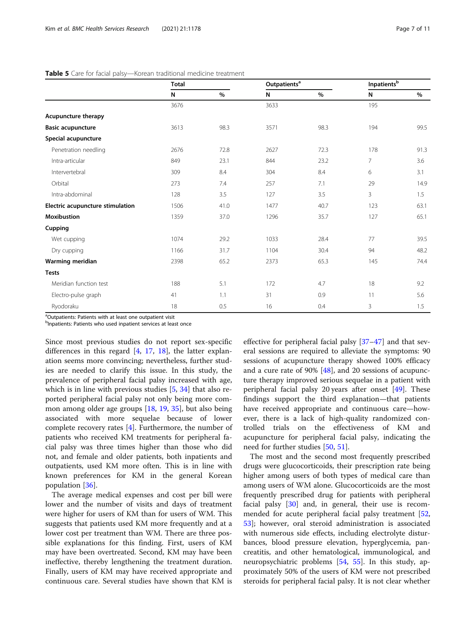# <span id="page-6-0"></span>Table 5 Care for facial palsy-Korean traditional medicine treatment

|                                  | <b>Total</b> |      | Outpatients <sup>a</sup> |      | $\label{eq:opt1} {\small\textsf{Inpatients}}^{\small\textsf{b}}$ |      |
|----------------------------------|--------------|------|--------------------------|------|------------------------------------------------------------------|------|
|                                  | N            | %    | N                        | $\%$ | N                                                                | $\%$ |
|                                  | 3676         |      | 3633                     |      | 195                                                              |      |
| Acupuncture therapy              |              |      |                          |      |                                                                  |      |
| <b>Basic acupuncture</b>         | 3613         | 98.3 | 3571                     | 98.3 | 194                                                              | 99.5 |
| Special acupuncture              |              |      |                          |      |                                                                  |      |
| Penetration needling             | 2676         | 72.8 | 2627                     | 72.3 | 178                                                              | 91.3 |
| Intra-articular                  | 849          | 23.1 | 844                      | 23.2 | 7                                                                | 3.6  |
| Intervertebral                   | 309          | 8.4  | 304                      | 8.4  | 6                                                                | 3.1  |
| Orbital                          | 273          | 7.4  | 257                      | 7.1  | 29                                                               | 14.9 |
| Intra-abdominal                  | 128          | 3.5  | 127                      | 3.5  | 3                                                                | 1.5  |
| Electric acupuncture stimulation | 1506         | 41.0 | 1477                     | 40.7 | 123                                                              | 63.1 |
| <b>Moxibustion</b>               | 1359         | 37.0 | 1296                     | 35.7 | 127                                                              | 65.1 |
| Cupping                          |              |      |                          |      |                                                                  |      |
| Wet cupping                      | 1074         | 29.2 | 1033                     | 28.4 | 77                                                               | 39.5 |
| Dry cupping                      | 1166         | 31.7 | 1104                     | 30.4 | 94                                                               | 48.2 |
| Warming meridian                 | 2398         | 65.2 | 2373                     | 65.3 | 145                                                              | 74.4 |
| <b>Tests</b>                     |              |      |                          |      |                                                                  |      |
| Meridian function test           | 188          | 5.1  | 172                      | 4.7  | 18                                                               | 9.2  |
| Electro-pulse graph              | 41           | 1.1  | 31                       | 0.9  | 11                                                               | 5.6  |
| Ryodoraku                        | 18           | 0.5  | 16                       | 0.4  | 3                                                                | 1.5  |

<sup>a</sup>Outpatients: Patients with at least one outpatient visit

<sup>b</sup>Inpatients: Patients who used inpatient services at least once

Since most previous studies do not report sex-specific differences in this regard  $[4, 17, 18]$  $[4, 17, 18]$  $[4, 17, 18]$  $[4, 17, 18]$  $[4, 17, 18]$ , the latter explanation seems more convincing; nevertheless, further studies are needed to clarify this issue. In this study, the prevalence of peripheral facial palsy increased with age, which is in line with previous studies [\[5,](#page-8-0) [34\]](#page-9-0) that also reported peripheral facial palsy not only being more common among older age groups [\[18](#page-9-0), [19](#page-9-0), [35](#page-9-0)], but also being associated with more sequelae because of lower complete recovery rates [[4\]](#page-8-0). Furthermore, the number of patients who received KM treatments for peripheral facial palsy was three times higher than those who did not, and female and older patients, both inpatients and outpatients, used KM more often. This is in line with known preferences for KM in the general Korean population [[36\]](#page-9-0).

The average medical expenses and cost per bill were lower and the number of visits and days of treatment were higher for users of KM than for users of WM. This suggests that patients used KM more frequently and at a lower cost per treatment than WM. There are three possible explanations for this finding. First, users of KM may have been overtreated. Second, KM may have been ineffective, thereby lengthening the treatment duration. Finally, users of KM may have received appropriate and continuous care. Several studies have shown that KM is effective for peripheral facial palsy [[37](#page-9-0)–[47](#page-9-0)] and that several sessions are required to alleviate the symptoms: 90 sessions of acupuncture therapy showed 100% efficacy and a cure rate of 90% [\[48](#page-9-0)], and 20 sessions of acupuncture therapy improved serious sequelae in a patient with peripheral facial palsy 20 years after onset [[49\]](#page-9-0). These findings support the third explanation—that patients have received appropriate and continuous care—however, there is a lack of high-quality randomized controlled trials on the effectiveness of KM and acupuncture for peripheral facial palsy, indicating the need for further studies [\[50](#page-9-0), [51](#page-9-0)].

The most and the second most frequently prescribed drugs were glucocorticoids, their prescription rate being higher among users of both types of medical care than among users of WM alone. Glucocorticoids are the most frequently prescribed drug for patients with peripheral facial palsy  $[30]$  $[30]$  and, in general, their use is recom-mended for acute peripheral facial palsy treatment [[52](#page-9-0), [53\]](#page-9-0); however, oral steroid administration is associated with numerous side effects, including electrolyte disturbances, blood pressure elevation, hyperglycemia, pancreatitis, and other hematological, immunological, and neuropsychiatric problems [\[54](#page-9-0), [55](#page-9-0)]. In this study, approximately 50% of the users of KM were not prescribed steroids for peripheral facial palsy. It is not clear whether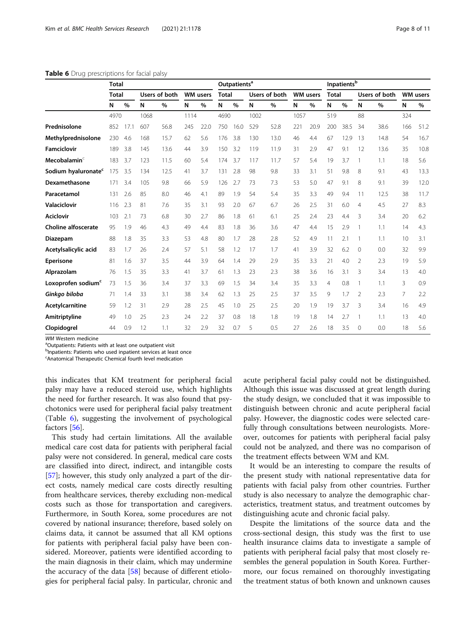|                                 |              | <b>Total</b> |      |               |      |                 |              | Outpatients <sup>a</sup> |      |               |      | Inpatients <sup>b</sup> |              |      |               |      |     |                 |
|---------------------------------|--------------|--------------|------|---------------|------|-----------------|--------------|--------------------------|------|---------------|------|-------------------------|--------------|------|---------------|------|-----|-----------------|
|                                 | <b>Total</b> |              |      | Users of both |      | <b>WM</b> users | <b>Total</b> |                          |      | Users of both |      | <b>WM</b> users         | <b>Total</b> |      | Users of both |      |     | <b>WM</b> users |
|                                 | N            | %            | N    | %             | N    | %               | N            | $\%$                     | N    | %             | N    | %                       | N            | $\%$ | N             | $\%$ | N   | $\%$            |
|                                 | 4970         |              | 1068 |               | 1114 |                 | 4690         |                          | 1002 |               | 1057 |                         | 519          |      | 88            |      | 324 |                 |
| Prednisolone                    | 852          | 17.1         | 607  | 56.8          | 245  | 22.0            | 750          | 16.0                     | 529  | 52.8          | 221  | 20.9                    | 200          | 38.5 | 34            | 38.6 | 166 | 51.2            |
| Methylprednisolone              | 230          | 4.6          | 168  | 15.7          | 62   | 5.6             | 176          | 3.8                      | 130  | 13.0          | 46   | 4.4                     | 67           | 12.9 | 13            | 14.8 | 54  | 16.7            |
| <b>Famciclovir</b>              | 189          | 3.8          | 145  | 13.6          | 44   | 3.9             | 150          | 3.2                      | 119  | 11.9          | 31   | 2.9                     | 47           | 9.1  | 12            | 13.6 | 35  | 10.8            |
| Mecobalamin <sup>c</sup>        | 183          | 3.7          | 123  | 11.5          | 60   | 5.4             | 174          | 3.7                      | 117  | 11.7          | 57   | 5.4                     | 19           | 3.7  | 1             | 1.1  | 18  | 5.6             |
| Sodium hyaluronate <sup>c</sup> | 175          | 3.5          | 134  | 12.5          | 41   | 3.7             | 131          | 2.8                      | 98   | 9.8           | 33   | 3.1                     | 51           | 9.8  | 8             | 9.1  | 43  | 13.3            |
| Dexamethasone                   | 171          | 3.4          | 105  | 9.8           | 66   | 5.9             | 126          | 2.7                      | 73   | 7.3           | 53   | 5.0                     | 47           | 9.1  | 8             | 9.1  | 39  | 12.0            |
| Paracetamol                     | 131          | 2.6          | 85   | 8.0           | 46   | 4.1             | 89           | 1.9                      | 54   | 5.4           | 35   | 3.3                     | 49           | 9.4  | 11            | 12.5 | 38  | 11.7            |
| <b>Valaciclovir</b>             | 116          | 2.3          | 81   | 7.6           | 35   | 3.1             | 93           | 2.0                      | 67   | 6.7           | 26   | 2.5                     | 31           | 6.0  | 4             | 4.5  | 27  | 8.3             |
| <b>Aciclovir</b>                | 103          | 2.1          | 73   | 6.8           | 30   | 2.7             | 86           | 1.8                      | 61   | 6.1           | 25   | 2.4                     | 23           | 4.4  | 3             | 3.4  | 20  | 6.2             |
| <b>Choline alfoscerate</b>      | 95           | 1.9          | 46   | 4.3           | 49   | 4.4             | 83           | 1.8                      | 36   | 3.6           | 47   | 4.4                     | 15           | 2.9  | 1             | 1.1  | 14  | 4.3             |
| Diazepam                        | 88           | 1.8          | 35   | 3.3           | 53   | 4.8             | 80           | 1.7                      | 28   | 2.8           | 52   | 4.9                     | 11           | 2.1  |               | 1.1  | 10  | 3.1             |
| Acetylsalicylic acid            | 83           | 1.7          | 26   | 2.4           | 57   | 5.1             | 58           | 1.2                      | 17   | 1.7           | 41   | 3.9                     | 32           | 6.2  | $\Omega$      | 0.0  | 32  | 9.9             |
| <b>Eperisone</b>                | 81           | 1.6          | 37   | 3.5           | 44   | 3.9             | 64           | 1.4                      | 29   | 2.9           | 35   | 3.3                     | 21           | 4.0  | 2             | 2.3  | 19  | 5.9             |
| Alprazolam                      | 76           | 1.5          | 35   | 3.3           | 41   | 3.7             | 61           | 1.3                      | 23   | 2.3           | 38   | 3.6                     | 16           | 3.1  | 3             | 3.4  | 13  | 4.0             |
| Loxoprofen sodium <sup>c</sup>  | 73           | 1.5          | 36   | 3.4           | 37   | 3.3             | 69           | 1.5                      | 34   | 3.4           | 35   | 3.3                     | 4            | 0.8  | 1             | 1.1  | 3   | 0.9             |
| Ginkgo biloba                   | 71           | 1.4          | 33   | 3.1           | 38   | 3.4             | 62           | 1.3                      | 25   | 2.5           | 37   | 3.5                     | 9            | 1.7  | 2             | 2.3  | 7   | 2.2             |
| Acetylcarnitine                 | 59           | 1.2          | 31   | 2.9           | 28   | 2.5             | 45           | 1.0                      | 25   | 2.5           | 20   | 1.9                     | 19           | 3.7  | 3             | 3.4  | 16  | 4.9             |
| Amitriptyline                   | 49           | 1.0          | 25   | 2.3           | 24   | 2.2             | 37           | 0.8                      | 18   | 1.8           | 19   | 1.8                     | 14           | 2.7  |               | 1.1  | 13  | 4.0             |
| Clopidogrel                     | 44           | 0.9          | 12   | 1.1           | 32   | 2.9             | 32           | 0.7                      | 5    | 0.5           | 27   | 2.6                     | 18           | 3.5  | $\Omega$      | 0.0  | 18  | 5.6             |

### <span id="page-7-0"></span>Table 6 Drug prescriptions for facial palsy

WM Western medicine

<sup>a</sup>Outpatients: Patients with at least one outpatient visit

<sup>b</sup>Inpatients: Patients who used inpatient services at least once

<sup>c</sup>Anatomical Therapeutic Chemical fourth level medication

this indicates that KM treatment for peripheral facial palsy may have a reduced steroid use, which highlights the need for further research. It was also found that psychotonics were used for peripheral facial palsy treatment (Table 6), suggesting the involvement of psychological factors [\[56](#page-9-0)].

This study had certain limitations. All the available medical care cost data for patients with peripheral facial palsy were not considered. In general, medical care costs are classified into direct, indirect, and intangible costs [[57\]](#page-10-0); however, this study only analyzed a part of the direct costs, namely medical care costs directly resulting from healthcare services, thereby excluding non-medical costs such as those for transportation and caregivers. Furthermore, in South Korea, some procedures are not covered by national insurance; therefore, based solely on claims data, it cannot be assumed that all KM options for patients with peripheral facial palsy have been considered. Moreover, patients were identified according to the main diagnosis in their claim, which may undermine the accuracy of the data  $[58]$  because of different etiologies for peripheral facial palsy. In particular, chronic and acute peripheral facial palsy could not be distinguished. Although this issue was discussed at great length during the study design, we concluded that it was impossible to distinguish between chronic and acute peripheral facial palsy. However, the diagnostic codes were selected carefully through consultations between neurologists. Moreover, outcomes for patients with peripheral facial palsy could not be analyzed, and there was no comparison of the treatment effects between WM and KM.

It would be an interesting to compare the results of the present study with national representative data for patients with facial palsy from other countries. Further study is also necessary to analyze the demographic characteristics, treatment status, and treatment outcomes by distinguishing acute and chronic facial palsy.

Despite the limitations of the source data and the cross-sectional design, this study was the first to use health insurance claims data to investigate a sample of patients with peripheral facial palsy that most closely resembles the general population in South Korea. Furthermore, our focus remained on thoroughly investigating the treatment status of both known and unknown causes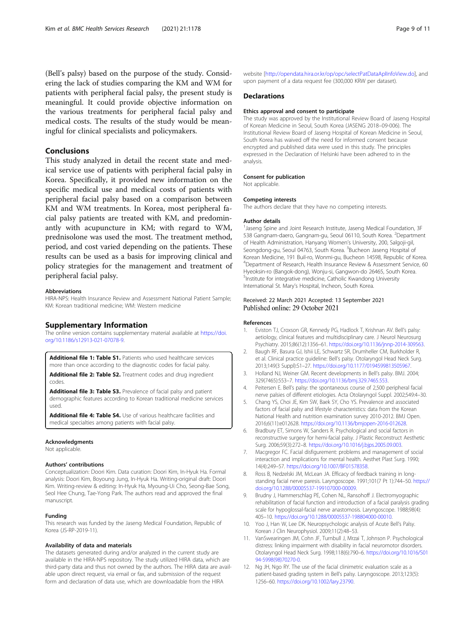<span id="page-8-0"></span>(Bell's palsy) based on the purpose of the study. Considering the lack of studies comparing the KM and WM for patients with peripheral facial palsy, the present study is meaningful. It could provide objective information on the various treatments for peripheral facial palsy and medical costs. The results of the study would be meaningful for clinical specialists and policymakers.

# Conclusions

This study analyzed in detail the recent state and medical service use of patients with peripheral facial palsy in Korea. Specifically, it provided new information on the specific medical use and medical costs of patients with peripheral facial palsy based on a comparison between KM and WM treatments. In Korea, most peripheral facial palsy patients are treated with KM, and predominantly with acupuncture in KM; with regard to WM, prednisolone was used the most. The treatment method, period, and cost varied depending on the patients. These results can be used as a basis for improving clinical and policy strategies for the management and treatment of peripheral facial palsy.

#### Abbreviations

HIRA-NPS: Health Insurance Review and Assessment National Patient Sample; KM: Korean traditional medicine; WM: Western medicine

### Supplementary Information

The online version contains supplementary material available at [https://doi.](https://doi.org/10.1186/s12913-021-07078-9) [org/10.1186/s12913-021-07078-9.](https://doi.org/10.1186/s12913-021-07078-9)

Additional file 1: Table S1. Patients who used healthcare services more than once according to the diagnostic codes for facial palsy.

Additional file 2: Table S2. Treatment codes and drug ingredient codes.

Additional file 3: Table S3. Prevalence of facial palsy and patient demographic features according to Korean traditional medicine services used.

Additional file 4: Table S4. Use of various healthcare facilities and medical specialties among patients with facial palsy.

#### Acknowledgments

Not applicable.

# Authors' contributions

Conceptualization: Doori Kim. Data curation: Doori Kim, In-Hyuk Ha. Formal analysis: Doori Kim, Boyoung Jung, In-Hyuk Ha. Writing-original draft: Doori Kim. Writing-review & editing: In-Hyuk Ha, Myoung-Ui Cho, Seong-Bae Song, Seol Hee Chung, Tae-Yong Park. The authors read and approved the final manuscript.

#### Funding

This research was funded by the Jaseng Medical Foundation, Republic of Korea (JS-RP-2019-11).

#### Availability of data and materials

The datasets generated during and/or analyzed in the current study are available in the HIRA-NPS repository. The study utilized HIRA data, which are third-party data and thus not owned by the authors. The HIRA data are available upon direct request, via email or fax, and submission of the request form and declaration of data use, which are downloadable from the HIRA

website [\[http://opendata.hira.or.kr/op/opc/selectPatDataAplInfoView.do\]](http://opendata.hira.or.kr/op/opc/selectPatDataAplInfoView.do), and upon payment of a data request fee (300,000 KRW per dataset).

## **Declarations**

#### Ethics approval and consent to participate

The study was approved by the Institutional Review Board of Jaseng Hospital of Korean Medicine in Seoul, South Korea (JASENG 2018–09-006). The Institutional Review Board of Jaseng Hospital of Korean Medicine in Seoul, South Korea has waived off the need for informed consent because encrypted and published data were used in this study. The principles expressed in the Declaration of Helsinki have been adhered to in the analysis.

#### Consent for publication

Not applicable.

#### Competing interests

The authors declare that they have no competing interests.

#### Author details

<sup>1</sup> Jaseng Spine and Joint Research Institute, Jaseng Medical Foundation, 3F 538 Gangnam-daero, Gangnam-gu, Seoul 06110, South Korea. <sup>2</sup>Department of Health Administration, Hanyang Women's University, 200, Salgoji-gil, Seongdong-gu, Seoul 04763, South Korea. <sup>3</sup>Bucheon Jaseng Hospital of Korean Medicine, 191 Buil-ro, Wonmi-gu, Bucheon 14598, Republic of Korea. <sup>4</sup>Department of Research, Health Insurance Review & Assessment Service, 60 Hyeoksin-ro (Bangok-dong), Wonju-si, Gangwon-do 26465, South Korea. 5 Institute for integrative medicine, Catholic Kwandong University International St. Mary's Hospital, Incheon, South Korea.

# Received: 22 March 2021 Accepted: 13 September 2021 Published online: 29 October 2021

#### References

- 1. Eviston TJ, Croxson GR, Kennedy PG, Hadlock T, Krishnan AV. Bell's palsy: aetiology, clinical features and multidisciplinary care. J Neurol Neurosurg Psychiatry. 2015;86(12):1356–61. <https://doi.org/10.1136/jnnp-2014-309563>.
- 2. Baugh RF, Basura GJ, Ishii LE, Schwartz SR, Drumheller CM, Burkholder R, et al. Clinical practice guideline: Bell's palsy. Otolaryngol Head Neck Surg. 2013;149(3 Suppl):S1–27. [https://doi.org/10.1177/0194599813505967.](https://doi.org/10.1177/0194599813505967)
- 3. Holland NJ, Weiner GM. Recent developments in Bell's palsy. BMJ. 2004; 329(7465):553–7. <https://doi.org/10.1136/bmj.329.7465.553>.
- 4. Peitersen E. Bell's palsy: the spontaneous course of 2,500 peripheral facial nerve palsies of different etiologies. Acta Otolaryngol Suppl. 2002;549:4–30.
- 5. Chang YS, Choi JE, Kim SW, Baek SY, Cho YS. Prevalence and associated factors of facial palsy and lifestyle characteristics: data from the Korean National Health and nutrition examination survey 2010-2012. BMJ Open. 2016;6(11):e012628. <https://doi.org/10.1136/bmjopen-2016-012628>.
- 6. Bradbury ET, Simons W, Sanders R. Psychological and social factors in reconstructive surgery for hemi-facial palsy. J Plastic Reconstruct Aesthetic Surg. 2006;59(3):272–8. <https://doi.org/10.1016/j.bjps.2005.09.003>.
- 7. Macgregor FC. Facial disfigurement: problems and management of social interaction and implications for mental health. Aesthet Plast Surg. 1990; 14(4):249–57. <https://doi.org/10.1007/BF01578358>.
- 8. Ross B, Nedzelski JM, McLean JA. Efficacy of feedback training in longstanding facial nerve paresis. Laryngoscope. 1991;101(7 Pt 1):744–50. [https://](https://doi.org/10.1288/00005537-199107000-00009) [doi.org/10.1288/00005537-199107000-00009.](https://doi.org/10.1288/00005537-199107000-00009)
- 9. Brudny J, Hammerschlag PE, Cohen NL, Ransohoff J. Electromyographic rehabilitation of facial function and introduction of a facial paralysis grading scale for hypoglossal-facial nerve anastomosis. Laryngoscope. 1988;98(4): 405–10. <https://doi.org/10.1288/00005537-198804000-00010>.
- 10. Yoo J, Han W, Lee DK. Neuropsychologic analysis of Acute Bell's Palsy. Korean J Clin Neurophysiol. 2009;11(2):48–53.
- 11. VanSwearingen JM, Cohn JF, Turnbull J, Mrzai T, Johnson P. Psychological distress: linking impairment with disability in facial neuromotor disorders. Otolaryngol Head Neck Surg. 1998;118(6):790–6. [https://doi.org/10.1016/S01](https://doi.org/10.1016/S0194-5998(98)70270-0) [94-5998\(98\)70270-0](https://doi.org/10.1016/S0194-5998(98)70270-0).
- 12. Ng JH, Ngo RY. The use of the facial clinimetric evaluation scale as a patient-based grading system in Bell's palsy. Laryngoscope. 2013;123(5): 1256–60. <https://doi.org/10.1002/lary.23790>.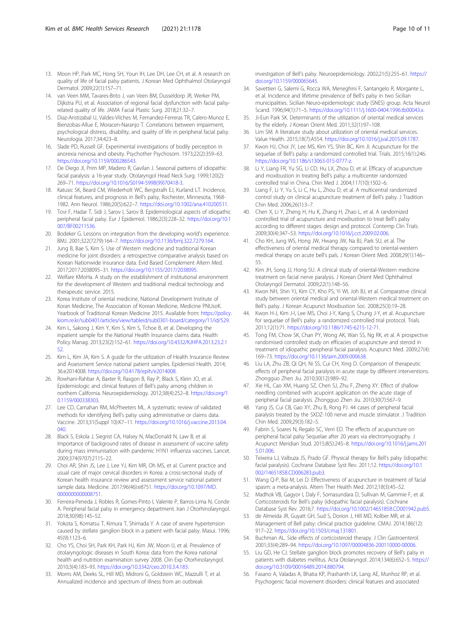- <span id="page-9-0"></span>13. Moon HP, Park MC, Hong SH, Youn IH, Lee DH, Lee CH, et al. A research on quality of life of facial palsy patients. J Korean Med Ophthalmol Otolaryngol Dermatol. 2009;22(1):157–71.
- 14. van Veen MM, Tavares-Brito J, van Veen BM, Dusseldorp JR, Werker PM, Dijkstra PU, et al. Association of regional facial dysfunction with facial palsyrelated quality of life. JAMA Facial Plastic Surg. 2018;21:32–7.
- 15. Diaz-Aristizabal U, Valdes-Vilches M, Fernandez-Ferreras TR, Calero-Munoz E, Bienzobas-Allue E, Moracen-Naranjo T. Correlations between impairment, psychological distress, disability, and quality of life in peripheral facial palsy. Neurologia. 2017;34:423–8.
- 16. Slade PD, Russell GF. Experimental investigations of bodily perception in anorexia nervosa and obesity. Psychother Psychosom. 1973;22(2):359–63. [https://doi.org/10.1159/000286543.](https://doi.org/10.1159/000286543)
- 17. De Diego JI, Prim MP, Madero R, Gavilan J. Seasonal patterns of idiopathic facial paralysis: a 16-year study. Otolaryngol Head Neck Surg. 1999;120(2): 269–71. [https://doi.org/10.1016/S0194-5998\(99\)70418-3.](https://doi.org/10.1016/S0194-5998(99)70418-3)
- 18. Katusic SK, Beard CM, Wiederholt WC, Bergstralh EJ, Kurland LT. Incidence, clinical features, and prognosis in Bell's palsy, Rochester, Minnesota, 1968- 1982. Ann Neurol. 1986;20(5):622–7. [https://doi.org/10.1002/ana.410200511.](https://doi.org/10.1002/ana.410200511)
- 19. Tovi F, Hadar T, Sidi J, Sarov I, Sarov B. Epidemiological aspects of idiopathic peripheral facial palsy. Eur J Epidemiol. 1986;2(3):228–32. [https://doi.org/10.1](https://doi.org/10.1007/BF00211536) [007/BF00211536](https://doi.org/10.1007/BF00211536).
- 20. Bodeker G. Lessons on integration from the developing world's experience. BMJ. 2001;322(7279):164–7. [https://doi.org/10.1136/bmj.322.7279.164.](https://doi.org/10.1136/bmj.322.7279.164)
- 21. Jung B, Bae S, Kim S. Use of Western medicine and traditional Korean medicine for joint disorders: a retrospective comparative analysis based on Korean Nationwide insurance data. Evid Based Complement Altern Med. 2017;2017:2038095–31. <https://doi.org/10.1155/2017/2038095>.
- 22. Welfare KMoHa. A study on the establishment of institutional environment for the development of Western and traditional medical technology and therapeutic service. 2015.
- 23. Korea Institute of oriental medicine, National Development Institute of Koran Medicine, The Association of Korean Medicine, Medicine PNUsoK. Yearbook of Traditional Korean Medicine 2015. Available from: [https://policy.](https://policy.kiom.re.kr/sub0401/articles/view/tableid/sub0301-board/category/11/id/529) [kiom.re.kr/sub0401/articles/view/tableid/sub0301-board/category/11/id/529](https://policy.kiom.re.kr/sub0401/articles/view/tableid/sub0301-board/category/11/id/529).
- 24. Kim L, Sakong J, Kim Y, Kim S, Kim S, Tchoe B, et al. Developing the inpatient sample for the National Health Insurance claims data. Health Policy Manag. 2013;23(2):152–61. [https://doi.org/10.4332/KJHPA.2013.23.2.1](https://doi.org/10.4332/KJHPA.2013.23.2.152) [52.](https://doi.org/10.4332/KJHPA.2013.23.2.152)
- 25. Kim L, Kim JA, Kim S. A guide for the utilization of Health Insurance Review and Assessment Service national patient samples. Epidemiol Health. 2014; 36:e2014008. [https://doi.org/10.4178/epih/e2014008.](https://doi.org/10.4178/epih/e2014008)
- 26. Rowhani-Rahbar A, Baxter R, Rasgon B, Ray P, Black S, Klein JO, et al. Epidemiologic and clinical features of Bell's palsy among children in northern California. Neuroepidemiology. 2012;38(4):252–8. [https://doi.org/1](https://doi.org/10.1159/000338303) [0.1159/000338303](https://doi.org/10.1159/000338303).
- 27. Lee CD, Carnahan RM, McPheeters ML. A systematic review of validated methods for identifying Bell's palsy using administrative or claims data. Vaccine. 2013;31(Suppl 10):K7–11. [https://doi.org/10.1016/j.vaccine.2013.04.](https://doi.org/10.1016/j.vaccine.2013.04.040) [040.](https://doi.org/10.1016/j.vaccine.2013.04.040)
- 28. Black S, Eskola J, Siegrist CA, Halsey N, MacDonald N, Law B, et al. Importance of background rates of disease in assessment of vaccine safety during mass immunisation with pandemic H1N1 influenza vaccines. Lancet. 2009;374(9707):2115–22.
- 29. Choi AR, Shin JS, Lee J, Lee YJ, Kim MR, Oh MS, et al. Current practice and usual care of major cervical disorders in Korea: a cross-sectional study of Korean health insurance review and assessment service national patient sample data. Medicine. 2017;96(46):e8751. [https://doi.org/10.1097/MD.](https://doi.org/10.1097/MD.0000000000008751) [0000000000008751](https://doi.org/10.1097/MD.0000000000008751).
- 30. Ferreira-Peneda J, Robles R, Gomes-Pinto I, Valente P, Barros-Lima N, Conde A. Peripheral facial palsy in emergency department. Iran J Otorhinolaryngol. 2018;30(98):145–52.
- 31. Yokota S, Komatsu T, Kimura T, Shimada Y. A case of severe hypertension caused by stellate ganglion block in a patient with facial palsy. Masui. 1996; 45(9):1123–6.
- 32. Cho YS, Choi SH, Park KH, Park HJ, Kim JW, Moon IJ, et al. Prevalence of otolaryngologic diseases in South Korea: data from the Korea national health and nutrition examination survey 2008. Clin Exp Otorhinolaryngol. 2010;3(4):183–93. <https://doi.org/10.3342/ceo.2010.3.4.183>.
- 33. Morris AM, Deeks SL, Hill MD, Midroni G, Goldstein WC, Mazzulli T, et al. Annualized incidence and spectrum of illness from an outbreak

investigation of Bell's palsy. Neuroepidemiology. 2002;21(5):255–61. [https://](https://doi.org/10.1159/000065645) [doi.org/10.1159/000065645](https://doi.org/10.1159/000065645).

- 34. Savettieri G, Salemi G, Rocca WA, Meneghini F, Santangelo R, Morgante L, et al. Incidence and lifetime prevalence of Bell's palsy in two Sicilian municipalities. Sicilian Neuro-epidemiologic study (SNES) group. Acta Neurol Scand. 1996;94(1):71–5. [https://doi.org/10.1111/j.1600-0404.1996.tb00043.x.](https://doi.org/10.1111/j.1600-0404.1996.tb00043.x)
- 35. Ji-Eun Park SK. Determinants of the utilization of oriental medical services by the elderly. J Korean Orient Med. 2011;32(1):97–108.
- 36. Lim SM. A literature study about utilization of oriental medical services. Value Health. 2015;18(7):A554. [https://doi.org/10.1016/j.jval.2015.09.1787.](https://doi.org/10.1016/j.jval.2015.09.1787)
- 37. Kwon HJ, Choi JY, Lee MS, Kim YS, Shin BC, Kim JI. Acupuncture for the sequelae of Bell's palsy: a randomized controlled trial. Trials. 2015;16(1):246. [https://doi.org/10.1186/s13063-015-0777-z.](https://doi.org/10.1186/s13063-015-0777-z)
- 38. Li Y, Liang FR, Yu SG, Li CD, Hu LX, Zhou D, et al. Efficacy of acupuncture and moxibustion in treating Bell's palsy: a multicenter randomized controlled trial in China. Chin Med J. 2004;117(10):1502–6.
- 39. Liang F, Li Y, Yu S, Li C, Hu L, Zhou D, et al. A multicentral randomized control study on clinical acupuncture treatment of Bell's palsy. J Tradition Chin Med. 2006;26(1):3–7.
- 40. Chen X, Li Y, Zheng H, Hu K, Zhang H, Zhao L, et al. A randomized controlled trial of acupuncture and moxibustion to treat Bell's palsy according to different stages: design and protocol. Contemp Clin Trials. 2009;30(4):347–53. <https://doi.org/10.1016/j.cct.2009.02.006>.
- 41. Cho KH, Jung WS, Hong JW, Hwang JW, Na BJ, Park SU, et al. The effectiveness of oriental medical therapy compared to oriental-western medical therapy on acute bell's pals. J Korean Orient Med. 2008;29(1):146– 55.
- 42. Kim JH, Song JJ, Hong SU. A clinical study of oriental-Western medicine treatment on facial nerve paralysis. J Korean Orient Med Ophthalmol Otolaryngol Dermatol. 2009;22(1):148–56.
- 43. Kwon NH, Shin YJ, Kim CY, Kho PS, Yi WI, Joh BJ, et al. Comparative clinical study between oriental medical and oriental-Western medical treatment on Bell's palsy. J Korean Acupunct Moxibustion Soc. 2008;25(3):19–28.
- 44. Kwon H-J, Kim J-I, Lee MS, Choi J-Y, Kang S, Chung J-Y, et al. Acupuncture for sequelae of Bell's palsy: a randomized controlled trial protocol. Trials. 2011;12(1):71. <https://doi.org/10.1186/1745-6215-12-71>.
- 45. Tong FM, Chow SK, Chan PY, Wong AK, Wan SS, Ng RK, et al. A prospective randomised controlled study on efficacies of acupuncture and steroid in treatment of idiopathic peripheral facial paralysis. Acupunct Med. 2009;27(4): 169–73. [https://doi.org/10.1136/aim.2009.000638.](https://doi.org/10.1136/aim.2009.000638)
- 46. Liu LA, Zhu ZB, Qi QH, Ni SS, Cui CH, Xing D. Comparison of therapeutic effects of peripheral facial paralysis in acute stage by different interventions. Zhongguo Zhen Jiu. 2010;30(12):989–92.
- 47. Xie HL, Cao XM, Huang SZ, Chen SJ, Zhu F, Zheng XY. Effect of shallow needling combined with acupoint application on the acute stage of peripheral facial paralysis. Zhongguo Zhen Jiu. 2010;30(7):567–9.
- 48. Yang JS, Cui CB, Gao XY, Zhu B, Rong PJ. 44 cases of peripheral facial paralysis treated by the SXDZ-100 nerve and muscle stimulator. J Tradition Chin Med. 2009;29(3):182–5.
- 49. Fabrin S, Soares N, Regalo SC, Verri ED. The effects of acupuncture on peripheral facial palsy Sequelae after 20 years via electromyography. J Acupunct Meridian Stud. 2015;8(5):245–8. [https://doi.org/10.1016/j.jams.201](https://doi.org/10.1016/j.jams.2015.01.006) [5.01.006.](https://doi.org/10.1016/j.jams.2015.01.006)
- 50. Teixeira LJ, Valbuza JS, Prado GF. Physical therapy for Bell's palsy (idiopathic facial paralysis). Cochrane Database Syst Rev. 2011;12. [https://doi.org/10.1](https://doi.org/10.1002/14651858.CD006283.pub3) [002/14651858.CD006283.pub3.](https://doi.org/10.1002/14651858.CD006283.pub3)
- 51. Wang Q-P, Bai M, Lei D. Effectiveness of acupuncture in treatment of facial spasm: a meta-analysis. Altern Ther Health Med. 2012;18(3):45–52.
- 52. Madhok VB, Gagyor I, Daly F, Somasundara D, Sullivan M, Gammie F, et al. Corticosteroids for Bell's palsy (idiopathic facial paralysis). Cochrane Database Syst Rev. 2016;7. <https://doi.org/10.1002/14651858.CD001942.pub5>.
- 53. de Almeida JR, Guyatt GH, Sud S, Dorion J, Hill MD, Kolber MR, et al. Management of Bell palsy: clinical practice guideline. CMAJ. 2014;186(12): 917–22. <https://doi.org/10.1503/cmaj.131801>.
- 54. Buchman AL. Side effects of corticosteroid therapy. J Clin Gastroenterol. 2001;33(4):289–94. <https://doi.org/10.1097/00004836-200110000-00006>.
- 55. Liu GD, He CJ. Stellate ganglion block promotes recovery of Bell's palsy in patients with diabetes mellitus. Acta Otolaryngol. 2014;134(6):652–5. [https://](https://doi.org/10.3109/00016489.2014.880794) [doi.org/10.3109/00016489.2014.880794](https://doi.org/10.3109/00016489.2014.880794).
- 56. Fasano A, Valadas A, Bhatia KP, Prashanth LK, Lang AE, Munhoz RP, et al. Psychogenic facial movement disorders: clinical features and associated